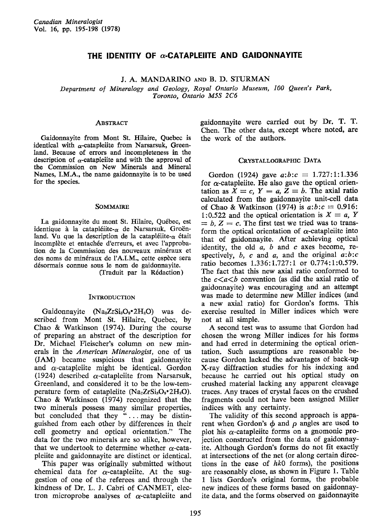# THE IDENTITY OF  $\alpha$ -CATAPLEIITE AND GAIDONNAYITE

# J. A. MANDARINO AND B. D. STURMAN

Department of Mineralogy and Geology, Royal Ontario Museum, 100 Queen's Park, Toronto, Ontario MSS 2C6

# **ABSTRACT**

Gaidonnayite from Mont St. Hilaire, Quebec is identical with  $\alpha$ -catapleiite from Narsarsuk, Greenland. Because of errors and incompleteness in the description of  $\alpha$ -catapleiite and with the approval of the Commission on New Minerals and Mineral Names, I.M.A., the name gaidonnayite is to be used for the species.

# **SOMMAIRE**

La gaidonnayite du mont St. Hilaire, Québec, est identique à la catapléiite- $\alpha$  de Narsarsuk, Groën-Iand. Vu que la description de la catapléiite- $\alpha$  était incomplète et entachée d'erreurs, et avec l'approbation de la Commission des nouveaux minéraux et des noms de minéraux de l'A.I.M., cette espèce sera désormais connue sous le nom de gaidonnayite.

(fraduit par la R6daction)

#### **INTRODUCTION**

Gaidonnayite  $(Na_2ZrSi_3O_9^*2H_2O)$  was described from Mont St. Hilaire, Quebec, by Chao & Watkinson (1974). During the course of preparing an abstract of the description for Dr. Michael Fleischer's column on new minerals in the American Mineralogisf, one of us (JAM) became suspicious that gaidonnayite and  $\alpha$ -catapleiite might be identical. Gordon (1924) described  $\alpha$ -catapleiite from Narsarsuk, Greenland, and considered it to be the low-temperature form of catapleiite  $(Na<sub>2</sub>ZrSi<sub>3</sub>O<sub>9</sub>•2H<sub>2</sub>O).$ Chao & Watkinson (1974) recognized that the two minerals possess many similar properties, but concluded that they "... may be distinguished from each other by differences in their cell geometry and optical orientation." The data for the two minerals are so alike, however, that we undertook to determine whether  $\alpha$ -catapleiite and gaidonnayite are distinct or identical.

This paper was originally submitted without chemical data for  $\alpha$ -catapleiite. At the suggestion of one of the referees and through the kindness of Dr. L. J. Cabri of CANMET. electron microprobe analyses of  $\alpha$ -catapleiite and

gaidonnavite were carried out by Dr. T. T. Chen. The other data, except where noted, are the work of the authors.

### CRYSTALLOGRAPHIC DATA

Gordon (1924) gave  $a:b:c = 1.727:1:1.336$ for  $\alpha$ -catapleiite. He also gave the optical orientation as  $\ddot{X} = c$ ,  $Y = a$ ,  $Z = b$ . The axial ratio calculated from the gaidonnayite unit-cell data of Chao & Watkinson (1974) is  $a:b:c = 0.916$ : 1:0.522 and the optical orientation is  $X = a$ , Y  $= b, Z = c$ . The first test we tried was to transform the optical orientation of  $\alpha$ -catapleiite into that of gaidonnayite. After achieving optical identity, the old  $a$ ,  $b$  and  $c$  axes become, respectively,  $b$ ,  $c$  and  $a$ , and the original  $a:b:c$ ratio becomes 1.336:1.727:1 or 0.774:1:0.579. The fact that this new axial ratio conformed to the  $c \lt a \lt b$  convention (as did the axial ratio of gaidonnayite) was encouraging and an attempt was made to determine new Miller indices (and a new axial ratio) for Gordon's forms. This exercise resulted in Miller indices which were not at all simple,

A second test was to assume that Gordon had chosen the wrong Miller indices for his forms and had erred in determining the optical orientation. Such assumptions ate reasonable because Gordon lacked the advantages of back-up X-ray diffraction studies for his indexing and because he carried out his optical study on crushed material lacking any apparent cleavage traces. Any traces of crystal faces on the crushed fragments could not have been assigned Miller indices with any certainty.

The validity of this second approach is apparent when Gordon's  $\phi$  and  $\rho$  angles are used to plot his  $\alpha$ -catapleiite forms on a gnomonic projection constructed from the data of gaidonnayite. Although Gordon's forms do not fit exactly at intersections of the net (or along certain directions in the case of  $hk0$  forms), the positions are reasonably close, as shown in Figure 1. Table 1 lists Gordon's original forms, the probable new indices of these forms based on gaidonnayite data, and the forms observed on gaidonnayite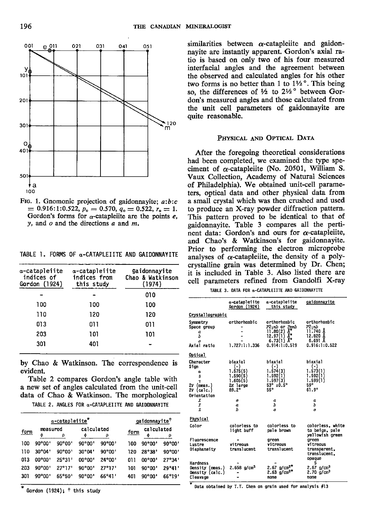

FIG. 1. Gnomonic projection of gaidonnayite;  $a:b:c$  $= 0.916:1:0.522, p_0 = 0.570, q_0 = 0.522, r_0 = 1.$ Gordon's forms for  $\alpha$ -catapleite are the points e. y, and  $o$  and the directions  $a$  and  $m$ .

TABLE 1. FORMS OF  $\alpha$ -CATAPLEIITE AND GAIDONNAYITE

| a-catapleiite<br>indices of<br>Gordon (1924) | a-catapleiite<br>indices from<br>this study | gaidonnayite<br>Chao & Watkinson<br>(1974) |
|----------------------------------------------|---------------------------------------------|--------------------------------------------|
|                                              |                                             | 010                                        |
| 100                                          | 100                                         | 100                                        |
| 110                                          | 120                                         | 120                                        |
| 013                                          | 011                                         | 011                                        |
| 203                                          | 101                                         | 101                                        |
| 301                                          | 401                                         |                                            |

by Chao & Watkinson. The correspondence is evident.

Table 2 compares Gordon's angle table with a new set of angles calculated from the unit-cell data of Chao & Watkinson. The morphological ΓE.

|  |  |  |  | TABLE 2. ANGLES FOR $\alpha$ -CATAPLEIITE AND GAIDONNAYIT |  |  |  |
|--|--|--|--|-----------------------------------------------------------|--|--|--|
|--|--|--|--|-----------------------------------------------------------|--|--|--|

| $\alpha$ -catapleiite <sup><math>\pi</math></sup> |               |        |                 |        |      | gaidonnayite <sup>T</sup> |        |
|---------------------------------------------------|---------------|--------|-----------------|--------|------|---------------------------|--------|
| <u>form</u>                                       | measured<br>Φ | ρ      | calculated      | ρ      | form | calculated<br>Ф           | ۵      |
| 100                                               | 90°00'        | 90°00' | $90^{\circ}00'$ | 90°00' | 100  | 90°00'                    | 90°00' |
| 110                                               | 30°04'        | 90°00' | $30^{\circ}04'$ | 90°00' | 120  | 28°38'                    | 90°00' |
| 013                                               | 00°00'        | 25°31' | 00°00'          | 24°00' | 01 I | $00^{\circ}00'$           | 27°34' |
| 203                                               | 90°00'        | 27°17' | 90°00'          | 27°17' | 101  | 90°00'                    | 29°41' |
| 301                                               | 90°00'        | 65°50' | 90°00'          | 66°41' | 401  | 90°00'                    | 66°19' |

Gordon (1924);  $\dagger$  this study

similarities between  $\alpha$ -catapleiite and gaidonnavite are instantly apparent. Gordon's axial ratio is based on only two of his four measured interfacial angles and the agreement between the observed and calculated angles for his other two forms is no better than 1 to  $1\frac{1}{2}$ °. This being so, the differences of 1/2 to 21/2° between Gordon's measured angles and those calculated from the unit cell parameters of gaidonnayite are quite reasonable.

# PHYSICAL AND OPTICAL DATA

After the foregoing theoretical considerations had been completed, we examined the type speciment of  $\alpha$ -catapleiite (No. 20501, William S. Vaux Collection, Academy of Natural Sciences of Philadelphia). We obtained unit-cell parameters, optical data and other physical data from a small crystal which was then crushed and used to produce an X-ray powder diffraction pattern. This pattern proved to be identical to that of gaidonnavite. Table 3 compares all the pertinent data: Gordon's and ours for  $\alpha$ -catapleiite, and Chao's & Watkinson's for gaidonnayite. Prior to performing the electron microprobe analyses of  $\alpha$ -catapleiite, the density of a polycrystalline grain was determined by Dr. Chen; it is included in Table 3. Also listed there are cell parameters refined from Gandolfi X-ray

| TABLE 3. DATA FOR &-CATAPLEIITE AND GAIDONNAYIT |  |  |  |  |  |  |  |
|-------------------------------------------------|--|--|--|--|--|--|--|
|-------------------------------------------------|--|--|--|--|--|--|--|

|                                                                             | α-catapleiite<br>Gordon (1924)                                                     | α∽catapleiite<br>this study                                                                                                                                                                                                                    | gaidonnayite                                                                 |
|-----------------------------------------------------------------------------|------------------------------------------------------------------------------------|------------------------------------------------------------------------------------------------------------------------------------------------------------------------------------------------------------------------------------------------|------------------------------------------------------------------------------|
| Crystallographic                                                            |                                                                                    |                                                                                                                                                                                                                                                |                                                                              |
| Symmetry<br>Space group<br>а<br>Ъ<br>a<br>Axial ratio                       | orthorhombic<br>1.727:1:1.336                                                      | orthorhombic<br>P21nb or Pumb<br>11.80(2)<br>$\begin{array}{c} .97\left(\begin{smallmatrix} 2\\1\\1\end{smallmatrix}\right) & \begin{smallmatrix} 8\\1\\8\\6 \end{smallmatrix} \\ .914:1 \end{array} \end{array}$<br>12.97(1)<br>0.914:1:0.519 | orthorhombic<br>$P2_1nb$<br>11.740 Å<br>12.820 Å<br>6.691 Å<br>0.916:1:0.522 |
| Optical                                                                     |                                                                                    |                                                                                                                                                                                                                                                |                                                                              |
| Character<br>Sign<br>α<br>ß<br>۲<br>2v (meas.)<br>2V (calc.)<br>Orientation | biaxial<br>$(-)$<br>1.575(5)<br>1.590(5)<br>1.605(5)<br>2E large<br>$89.2^{\circ}$ | biaxial<br>$(-)$<br>1.574(3)<br>1.592(1)<br>1.597(3)<br>$53^\circ$ ±0.5°<br>55°                                                                                                                                                                | biaxial<br>$(-)$<br>1.573(1)<br>1.592(1)<br>1.599(1)<br>59°<br>$61.9^\circ$  |
| Χ                                                                           | o                                                                                  | а                                                                                                                                                                                                                                              | α                                                                            |
| Y<br>2                                                                      | $\alpha$<br>Ъ                                                                      | Ъ<br>a                                                                                                                                                                                                                                         | Ъ<br>a                                                                       |
| Physical                                                                    |                                                                                    |                                                                                                                                                                                                                                                |                                                                              |
| Color                                                                       | colorless to<br>light buff                                                         | colorless to<br>pale brown                                                                                                                                                                                                                     | colorless, white<br>to beige, pale<br>yellowish green                        |
| Fluorescence<br>Lustre<br>Diaphaneity                                       | vitreous<br>translucent                                                            | green<br>vitreous<br>translucent                                                                                                                                                                                                               | creen<br>vitreous<br>transparent.<br>translucent,<br>opaque                  |
| <b>Hardness</b><br>Density (meas.)<br>Density (calc.)<br>Cleavage           | $2.658$ g/cm <sup>3</sup>                                                          | 2.67 g/cm <sup>3</sup><br>2.63 g/cm <sup>3*</sup><br>none                                                                                                                                                                                      | 5<br>$2.67$ g/cm <sup>3</sup><br>$2.70$ g/cm <sup>3</sup><br>none            |

Data obtained by T.T. Chen on grain used for analysis #13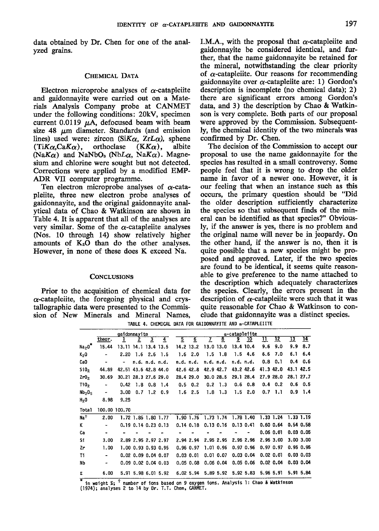data obtained by Dr. Chen for one of the analyzed grains.

### CHEMICAL DATA

Electron microprobe analyses of  $\alpha$ -catapleiite and gaidonnayite were carried out on a Materials Analysis Company probe at CANMET under the following conditions: 20kV, specimen current 0.0119  $\mu$ A, defocused beam with beam size 48  $\mu$ m diameter. Standards (and emission lines) used were: zircon (Si $K_{\alpha}$ , ZrL $\alpha$ ), sphene  $(TiK\alpha,CaK\alpha)$ , orthoclase  $(KK\alpha)$ , albite (NaK $\alpha$ ) and NaNbO<sub>s</sub> (NbL $\alpha$ , NaK $\alpha$ ). Magnesium and chlorine were sought but not detected. Corrections were applied by a modified EMP-ADR VII computer programme.

Ten electron microprobe analyses of  $\alpha$ -catapleiite, three new electron probe analyses of gaidonnayite, and the original gaidonnayite analytical data of Chao & Watkinson are shown in Table 4. It is apparent that all of the analyses are very similar. Some of the  $\alpha$ -catapleiite analyses (Nos. 10 through 14) show relatively higher amounts of  $K<sub>2</sub>O$  than do the other analyses. However, in none of these does K exceed Na.

#### CONCLUSIONS

Prior to the acquisition of chemical data for  $\alpha$ -catapleiite, the foregoing physical and crystallographic data were presented to the Commission of New Minerals and Mineral Names, I.M.A., with the proposal that  $\alpha$ -catapleiite and gaidonnayite be considered identical, and further, that the name gaidonnayite be retained for the mineral, notwithstanding the clear priority of  $\alpha$ -catapleiite. Our reasons for recommending gaidonnayite over  $\alpha$ -catapleiite are: 1) Gordon's description is incomplete (no chemical data);  $2)$ there are significant errors among Gordon's data, and 3) the description by Chao & Watkinson is very complete. Both parts of our proposal were approved by the Commission. Subsequently, the chemioal identity of the two minerals was confirmed by Dr. Chen.

The decision of the Commission to accept our proposal to use the name gaidonnayite for the species has resulted in a small controversy. Some people feel that it is wrong to drop the older name in favor of a newer one. However, it is our feeling that when an instance such as this occurs, the primary question should be "Did the older description sufficiently characterize the species so that subsequent finds of the mineral can be identified as that species?" Obviously, if the answer is yes, there is no problem and the original name will nevet be in jeopardy. On the other hand, if the answer is no, then it is quite possible that a new species might be pro. posed and approved. Later, if the two species are found to be identical, it seems quite reasonable to give preference to the name attached to the description which adequately characterizes the species. Clearly, the errors present in the description of  $\alpha$ -catapleiite were such that it was quite reasonable for Chao & Watkinson to conclude that gaidonnayite was a distinct species.

gaidonnayite<br>theor. 1 2  $\frac{3}{2}$   $\frac{4}{4}$   $\frac{5}{2}$   $\frac{6}{2}$   $\frac{7}{2}$   $\frac{8}{2}$   $\frac{9}{2}$   $\frac{10}{2}$  $\overline{12}$  $13 \overline{\smash{)}14}$  $\overline{\mathfrak{n}}$  $Na<sub>2</sub>0$ \* 15.44 13.11 14.1 13.4 13.5 14.2 13.2 13.0 13.0 13.4 10.4 9.6 9.0 9.9 8.7  $K<sub>2</sub>0$  $-$  2,20 1,6 2,6 1,5 1,6 2,0 1,5 1,8 1,5 4,6 6,6 7,0 6,1 6,4 ca0 n.d. n.d. n.d. n.d. n.d. n.d. n.d. n.d. n.d. 0.8 0.1 0.4 0.6 44.89 42.51 43.6 42.8 44.0 42.6 42.8 42.9 42.7 43.2 42.6 41.3 42.0 43.1 42.5 Si0<sub>2</sub>  $Zr0<sub>2</sub>$ ?8.4 29,0 30.0 28.5 29,1 28.4 27.9 28.0 28.1 27.7 30.69 30.21 28.3 27.6 29.0 Ti0<sub>2</sub> - 0.42 1.8 0.8 1.4 0.5 0.2 0.2 1.3 0.6 0.8 0.4 0.? 0.6 0.5  $-$  3.00 0.7 1.2 0.9 't.6 2.5 1.8 1.3 1.5 2.0 0.7 l.l 0.9 1.4  $Nb<sub>2</sub>O<sub>5</sub>$ 8.98 9.25  $H<sub>2</sub>0$ Total 100.00 100.70 2.00 1.72 1.85 1.80 I.77 1.90 I.76 1.73 1,74 1.78 1.40 1.33 1.24 1.33 l.l9 Na† K - 0.19 0.14 0.23 0.13 0.14 0.18 0.13 0.16 0.13 0.41 0.60 0.64 0.54 0.58 Ca  $\ddot{\phantom{a}}$  $\sim 10^{-1}$  $\omega$  .  $\sim 100$ 0.06 0.01 0.03 0.05 2.94 2.94 2.95 2.95 2,96 2.96 2,96 3.00 3.00 3.00 si 3.00 2.89 2.95 2.97 2.97 0.96 0.97 l.0l 0.96 0.97 0.96 0.97 0.97 0.95 0.95 Zt 1.00 1.00 0.93 0.93 0.95 0.03 0.01 0.01 0.07 0.03 0.04 0.02 0.01 0.03 0.03 Ti - 0.02 0.09 0.04 0.07 Nb - 0.09 0.02 0.04 0.03 0.05 0.08 0.06 0.04 0.05 0.06 0.02 0.04 0.03 0.04 r 6.00 5.91 5.98 6.01 5.92 6.02 5.94 5.89 5.92 5.92 5.&l 5.96 5.91 5.91 5.84

TABLE 4. CHEMICAL DATA FOR GAIDONNAYITE AND  $\alpha$ -CATAPLEIITE

 in weight  $x_i$ , <sup>†</sup> number of ions based on 9 oxygen ions. Analysis l: Chao & Watkinson (1974); analyses 2 to 14 by Dr. T.T. Chen, CANMET.